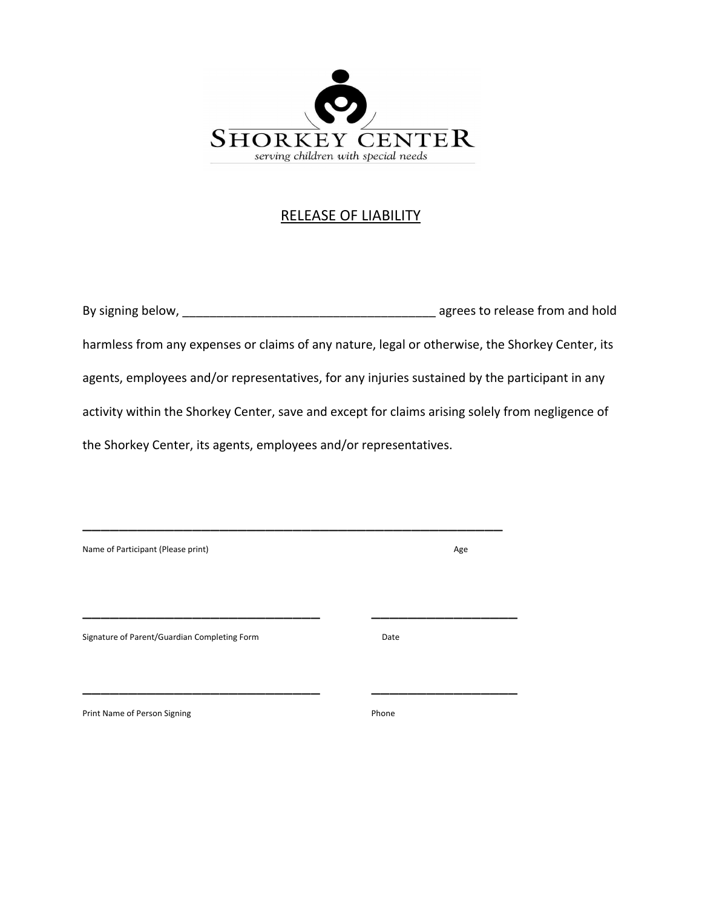

# RELEASE OF LIABILITY

| By signing below,                                                                                | agrees to release from and hold |
|--------------------------------------------------------------------------------------------------|---------------------------------|
| harmless from any expenses or claims of any nature, legal or otherwise, the Shorkey Center, its  |                                 |
| agents, employees and/or representatives, for any injuries sustained by the participant in any   |                                 |
| activity within the Shorkey Center, save and except for claims arising solely from negligence of |                                 |
| the Shorkey Center, its agents, employees and/or representatives.                                |                                 |

| Name of Participant (Please print)           | Age   |  |
|----------------------------------------------|-------|--|
|                                              |       |  |
| Signature of Parent/Guardian Completing Form | Date  |  |
| Print Name of Person Signing                 | Phone |  |

\_\_\_\_\_\_\_\_\_\_\_\_\_\_\_\_\_\_\_\_\_\_\_\_\_\_\_\_\_\_\_\_\_\_\_\_\_\_\_\_\_\_\_\_\_\_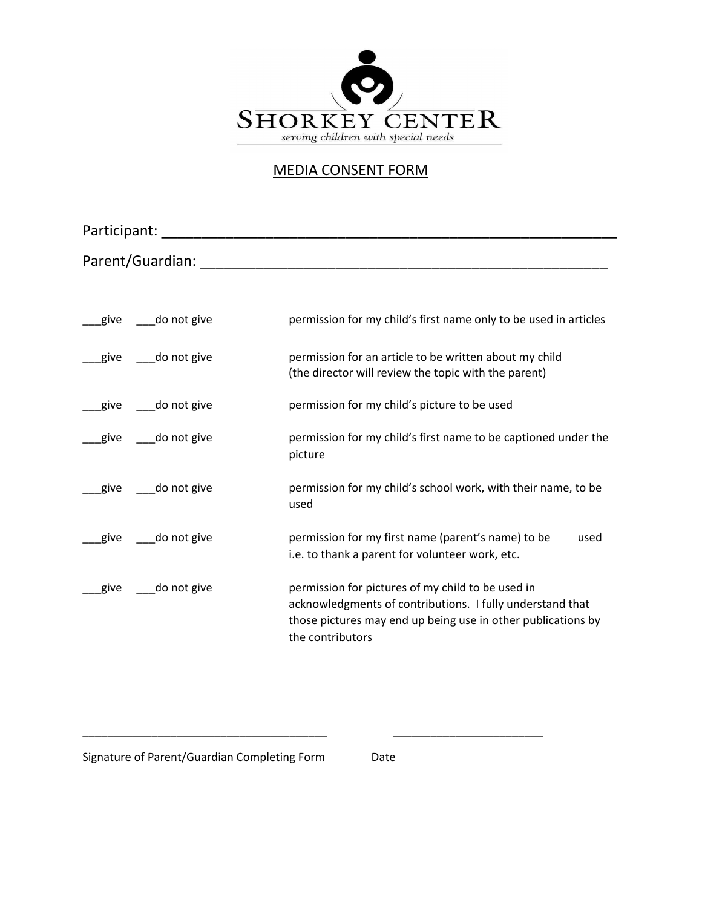

### MEDIA CONSENT FORM

| Participant:     |                                                                                           |                                                                                                                                                                                                    |
|------------------|-------------------------------------------------------------------------------------------|----------------------------------------------------------------------------------------------------------------------------------------------------------------------------------------------------|
| Parent/Guardian: |                                                                                           |                                                                                                                                                                                                    |
|                  |                                                                                           |                                                                                                                                                                                                    |
|                  | give do not give                                                                          | permission for my child's first name only to be used in articles                                                                                                                                   |
|                  | give ____do not give                                                                      | permission for an article to be written about my child<br>(the director will review the topic with the parent)                                                                                     |
|                  | give do not give                                                                          | permission for my child's picture to be used                                                                                                                                                       |
|                  | give do not give                                                                          | permission for my child's first name to be captioned under the<br>picture                                                                                                                          |
|                  | give do not give<br>permission for my child's school work, with their name, to be<br>used |                                                                                                                                                                                                    |
|                  | give do not give                                                                          | permission for my first name (parent's name) to be<br>used<br>i.e. to thank a parent for volunteer work, etc.                                                                                      |
| give             | do not give                                                                               | permission for pictures of my child to be used in<br>acknowledgments of contributions. I fully understand that<br>those pictures may end up being use in other publications by<br>the contributors |

Signature of Parent/Guardian Completing Form Date

\_\_\_\_\_\_\_\_\_\_\_\_\_\_\_\_\_\_\_\_\_\_\_\_\_\_\_\_\_\_\_\_\_\_\_\_\_\_\_ \_\_\_\_\_\_\_\_\_\_\_\_\_\_\_\_\_\_\_\_\_\_\_\_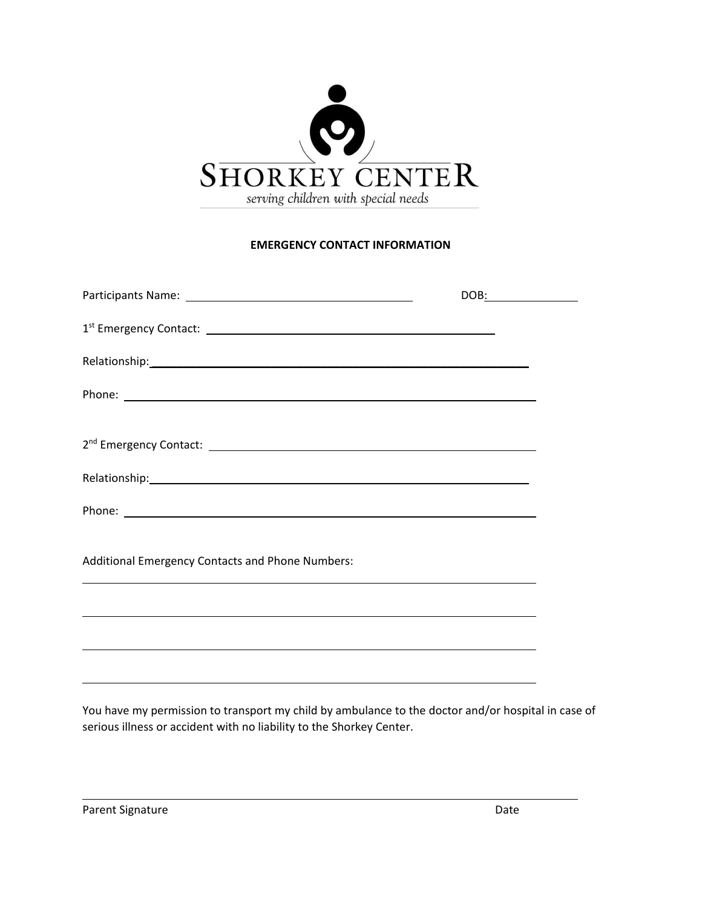

#### **EMERGENCY CONTACT INFORMATION**

| Additional Emergency Contacts and Phone Numbers: |  |
|--------------------------------------------------|--|
|                                                  |  |
|                                                  |  |
|                                                  |  |
|                                                  |  |

You have my permission to transport my child by ambulance to the doctor and/or hospital in case of serious illness or accident with no liability to the Shorkey Center.

L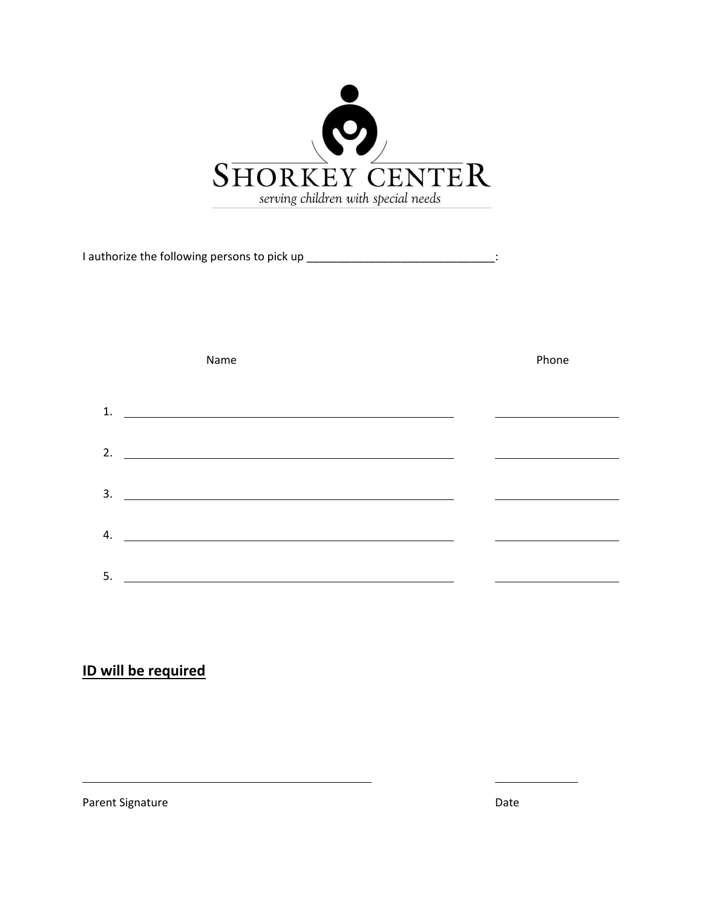

I authorize the following persons to pick up \_\_\_\_\_\_\_\_\_\_\_\_\_\_\_\_\_\_\_\_\_\_\_\_\_\_\_\_\_\_\_\_\_\_:

|    | Name                                                         | Phone |
|----|--------------------------------------------------------------|-------|
| 1. | <u> 1989 - Johann Stein, fransk politik (f. 1989)</u>        |       |
| 2. |                                                              |       |
| 3. |                                                              |       |
|    | <u> 1989 - Johann Stein, mars an de Britannich (b. 1989)</u> |       |
| 4. |                                                              |       |
| 5. |                                                              |       |

# **ID will be required**

Parent Signature Date

L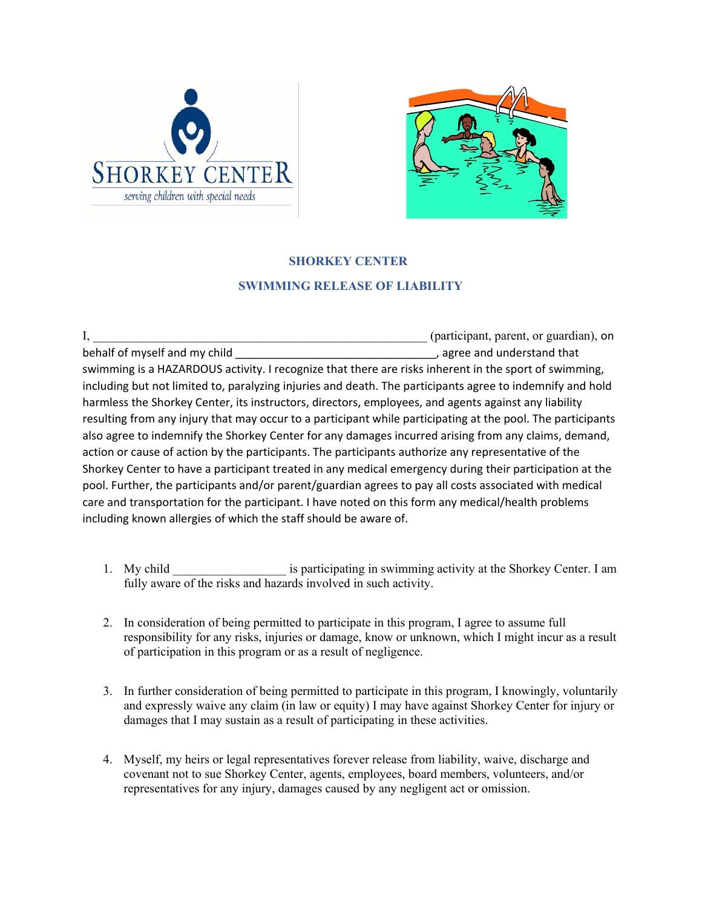



# **SHORKEY CENTER SWIMMING RELEASE OF LIABILITY**

I, the example of the extended term of the extended term  $($  participant, parent, or guardian), on behalf of myself and my child example and understand that general control of myself and my child swimming is a HAZARDOUS activity. I recognize that there are risks inherent in the sport of swimming, including but not limited to, paralyzing injuries and death. The participants agree to indemnify and hold harmless the Shorkey Center, its instructors, directors, employees, and agents against any liability resulting from any injury that may occur to a participant while participating at the pool. The participants also agree to indemnify the Shorkey Center for any damages incurred arising from any claims, demand, action or cause of action by the participants. The participants authorize any representative of the Shorkey Center to have a participant treated in any medical emergency during their participation at the pool. Further, the participants and/or parent/guardian agrees to pay all costs associated with medical care and transportation for the participant. I have noted on this form any medical/health problems including known allergies of which the staff should be aware of.

- 1. My child \_\_\_\_\_\_\_\_\_\_\_\_\_\_\_\_\_\_\_\_\_ is participating in swimming activity at the Shorkey Center. I am fully aware of the risks and hazards involved in such activity.
- 2. In consideration of being permitted to participate in this program, I agree to assume full responsibility for any risks, injuries or damage, know or unknown, which I might incur as a result of participation in this program or as a result of negligence.
- 3. In further consideration of being permitted to participate in this program, I knowingly, voluntarily and expressly waive any claim (in law or equity) I may have against Shorkey Center for injury or damages that I may sustain as a result of participating in these activities.
- 4. Myself, my heirs or legal representatives forever release from liability, waive, discharge and covenant not to sue Shorkey Center, agents, employees, board members, volunteers, and/or representatives for any injury, damages caused by any negligent act or omission.